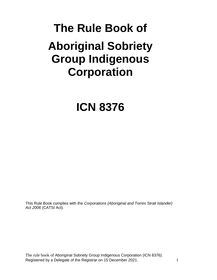# **The Rule Book of Aboriginal Sobriety Group Indigenous Corporation**

# **ICN 8376**

This Rule Book complies with the *Corporations (Aboriginal and Torres Strait Islander) Act 2006* (CATSI Act).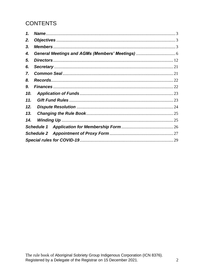# **CONTENTS**

| 1.  |  |
|-----|--|
| 2.  |  |
| 3.  |  |
| 4.  |  |
| 5.  |  |
| 6.  |  |
| 7.  |  |
| 8.  |  |
| 9.  |  |
| 10. |  |
| 11. |  |
| 12. |  |
| 13. |  |
| 14. |  |
|     |  |
|     |  |
|     |  |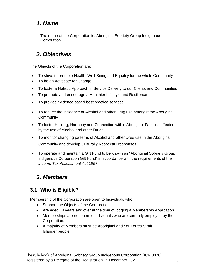# <span id="page-2-0"></span>*1. Name*

The name of the Corporation is: Aboriginal Sobriety Group Indigenous Corporation.

# <span id="page-2-1"></span>*2. Objectives*

The Objects of the Corporation are:

- To strive to promote Health, Well-Being and Equality for the whole Community
- To be an Advocate for Change
- To foster a Holistic Approach in Service Delivery to our Clients and Communities
- To promote and encourage a Healthier Lifestyle and Resilience
- To provide evidence based best practice services
- To reduce the incidence of Alcohol and other Drug use amongst the Aboriginal **Community**
- To foster Healing, Harmony and Connection within Aboriginal Families affected by the use of Alcohol and other Drugs
- To monitor changing patterns of Alcohol and other Drug use in the Aboriginal Community and develop Culturally Respectful responses
- To operate and maintain a Gift Fund to be known as "Aboriginal Sobriety Group Indigenous Corporation Gift Fund" in accordance with the requirements of the *Income Tax Assessment Act 1997*.

# <span id="page-2-2"></span>*3. Members*

# **3.1 Who is Eligible?**

Membership of the Corporation are open to Individuals who:

- Support the Objects of the Corporation.
- Are aged 18 years and over at the time of lodging a Membership Application.
- Memberships are not open to individuals who are currently employed by the Corporation.
- A majority of Members must be Aboriginal and / or Torres Strait Islander people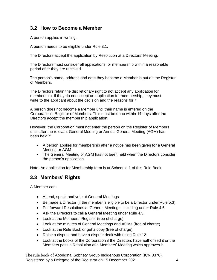#### **3.2 How to Become a Member**

A person applies in writing.

A person needs to be eligible under Rule 3.1.

The Directors accept the application by Resolution at a Directors' Meeting.

The Directors must consider all applications for membership within a reasonable period after they are received.

The person's name, address and date they became a Member is put on the Register of Members.

The Directors retain the discretionary right to not accept any application for membership. If they do not accept an application for membership, they must write to the applicant about the decision and the reasons for it.

A person does not become a Member until their name is entered on the Corporation's Register of Members. This must be done within 14 days after the Directors accept the membership application.

However, the Corporation must not enter the person on the Register of Members until after the relevant General Meeting or Annual General Meeting (AGM) has been held if:

- A person applies for membership after a notice has been given for a General Meeting or AGM
- The General Meeting or AGM has not been held when the Directors consider the person's application.

Note: An application for Membership form is at Schedule 1 of this Rule Book.

#### **3.3 Members' Rights**

A Member can:

- Attend, speak and vote at General Meetings
- Be made a Director (if the member is eligible to be a Director under Rule 5.3)
- Put forward Resolutions at General Meetings, including under Rule 4.6.
- Ask the Directors to call a General Meeting under Rule 4.3.
- Look at the Members' Register (free of charge)
- Look at the minutes of General Meetings and AGMs (free of charge)
- Look at the Rule Book or get a copy (free of charge)
- Raise a dispute and have a dispute dealt with using Rule 12
- Look at the books of the Corporation if the Directors have authorised it or the Members pass a Resolution at a Members' Meeting which approves it.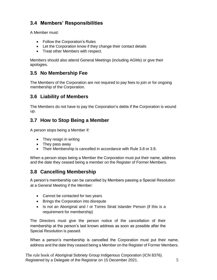# **3.4 Members' Responsibilities**

A Member must:

- Follow the Corporation's Rules
- Let the Corporation know if they change their contact details
- Treat other Members with respect.

Members should also attend General Meetings (including AGMs) or give their apologies.

### **3.5 No Membership Fee**

The Members of the Corporation are not required to pay fees to join or for ongoing membership of the Corporation.

#### **3.6 Liability of Members**

The Members do not have to pay the Corporation's debts if the Corporation is wound up.

#### **3.7 How to Stop Being a Member**

A person stops being a Member if:

- They resign in writing
- They pass away
- Their Membership is cancelled in accordance with Rule 3.8 or 3.9.

When a person stops being a Member the Corporation must put their name, address and the date they ceased being a member on the Register of Former Members.

# **3.8 Cancelling Membership**

A person's membership can be cancelled by Members passing a Special Resolution at a General Meeting if the Member:

- Cannot be contacted for two years
- Brings the Corporation into disrepute
- Is not an Aboriginal and / or Torres Strait Islander Person (if this is a requirement for membership)

The Directors must give the person notice of the cancellation of their membership at the person's last known address as soon as possible after the Special Resolution is passed.

When a person's membership is cancelled the Corporation must put their name, address and the date they ceased being a Member on the Register of Former Members.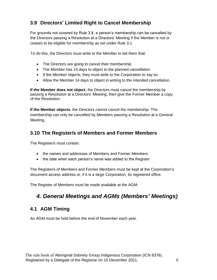# **3.9 Directors' Limited Right to Cancel Membership**

For grounds not covered by Rule 3.8, a person's membership can be cancelled by the Directors passing a Resolution at a Directors' Meeting if the Member is not or ceases to be eligible for membership as set under Rule 3.1.

To do this, the Directors must write to the Member to tell them that:

- The Directors are going to cancel their membership
- The Member has 14 days to object to the planned cancellation
- If the Member objects, they must write to the Corporation to say so.
- Allow the Member 14 days to object in writing to the intended cancellation.

**If the Member does not object**, the Directors must cancel the membership by passing a Resolution at a Directors' Meeting, then give the Former Member a copy of the Resolution.

**If the Member objects**, the Directors cannot cancel the membership. The membership can only be cancelled by Members passing a Resolution at a General Meeting.

#### **3.10 The Register/s of Members and Former Members**

The Register/s must contain:

- the names and addresses of Members and Former Members
- the date when each person's name was added to the Register

The Register/s of Members and Former Members must be kept at the Corporation's document access address or, if it is a large Corporation, its registered office.

<span id="page-5-0"></span>The Register of Members must be made available at the AGM.

# *4. General Meetings and AGMs (Members' Meetings)*

#### **4.1 AGM Timing**

An AGM must be held before the end of November each year.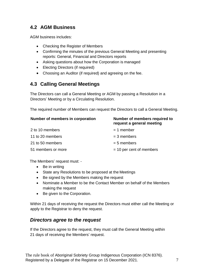### **4.2 AGM Business**

AGM business includes:

- Checking the Register of Members
- Confirming the minutes of the previous General Meeting and presenting reports: General, Financial and Directors reports
- Asking questions about how the Corporation is managed
- Electing Directors (if required)
- Choosing an Auditor (if required) and agreeing on the fee.

#### **4.3 Calling General Meetings**

The Directors can call a General Meeting or AGM by passing a Resolution in a Directors' Meeting or by a Circulating Resolution.

The required number of Members can request the Directors to call a General Meeting.

| Number of members in corporation | Number of members required to<br>request a general meeting |
|----------------------------------|------------------------------------------------------------|
| 2 to 10 members                  | $= 1$ member                                               |
| 11 to 20 members                 | $=$ 3 members                                              |
| 21 to 50 members                 | $= 5$ members                                              |
| 51 members or more               | $=$ 10 per cent of members                                 |

The Members' request must: -

- Be in writing
- State any Resolutions to be proposed at the Meetings
- Be signed by the Members making the request
- Nominate a Member to be the Contact Member on behalf of the Members making the request
- Be given to the Corporation.

Within 21 days of receiving the request the Directors must either call the Meeting or apply to the Registrar to deny the request.

#### *Directors agree to the request*

If the Directors agree to the request, they must call the General Meeting within 21 days of receiving the Members' request.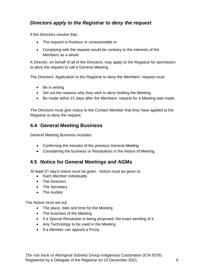### *Directors apply to the Registrar to deny the request*

If the Directors resolve that:

- The request is frivolous or unreasonable or
- Complying with the request would be contrary to the interests of the Members as a whole

A Director, on behalf of all of the Directors, may apply to the Registrar for permission to deny the request to call a General Meeting.

The Directors' Application to the Registrar to deny the Members' request must:

- Be in writing
- Set out the reasons why they wish to deny holding the Meeting
- Be made within 21 days after the Members' request for a Meeting was made.

The Directors must give notice to the Contact Member that they have applied to the Registrar to deny the request.

#### **4.4 General Meeting Business**

General Meeting Business includes:

- Confirming the minutes of the previous General Meeting
- Considering the business or Resolutions in the Notice of Meeting.

#### **4.5 Notice for General Meetings and AGMs**

At least 21 day's-notice must be given. Notice must be given to:

- Each Member individually
- The Directors
- The Secretary
- The Auditor

The Notice must set out:

- The place, date and time for the Meeting
- The business of the Meeting
- If a Special Resolution is being proposed, the exact wording of it
- Any Technology to be used in the Meeting
- If a Member can appoint a Proxy.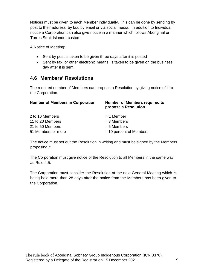Notices must be given to each Member individually. This can be done by sending by post to their address, by fax, by email or via social media. In addition to Individual notice a Corporation can also give notice in a manner which follows Aboriginal or Torres Strait Islander custom.

A Notice of Meeting:

- Sent by post is taken to be given three days after it is posted
- Sent by fax, or other electronic means, is taken to be given on the business day after it is sent.

#### **4.6 Members' Resolutions**

The required number of Members can propose a Resolution by giving notice of it to the Corporation.

| <b>Number of Members required to</b><br>propose a Resolution |
|--------------------------------------------------------------|
| $= 1$ Member                                                 |
| $=$ 3 Members                                                |
| $= 5$ Members                                                |
| $=$ 10 percent of Members                                    |
|                                                              |

The notice must set out the Resolution in writing and must be signed by the Members proposing it.

The Corporation must give notice of the Resolution to all Members in the same way as Rule 4.5.

The Corporation must consider the Resolution at the next General Meeting which is being held more than 28 days after the notice from the Members has been given to the Corporation.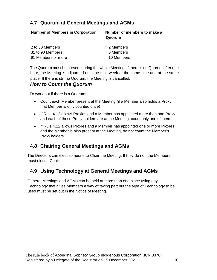### **4.7 Quorum at General Meetings and AGMs**

| <b>Number of Members in Corporation</b> | Number of members to make a<br>Quorum |
|-----------------------------------------|---------------------------------------|
| 2 to 30 Members                         | $= 2$ Members                         |
| 31 to 90 Members                        | $= 5$ Members                         |
| 91 Members or more                      | $= 10$ Members                        |
|                                         |                                       |

The Quorum must be present during the whole Meeting. If there is no Quorum after one hour, the Meeting is adjourned until the next week at the same time and at the same place. If there is still no Quorum, the Meeting is cancelled.

#### *How to Count the Quorum*

To work out if there is a Quorum:

- Count each Member present at the Meeting (if a Member also holds a Proxy, that Member is only counted once)
- If Rule 4.12 allows Proxies and a Member has appointed more than one Proxy and each of those Proxy holders are at the Meeting, count only one of them
- If Rule 4.12 allows Proxies and a Member has appointed one or more Proxies and the Member is also present at the Meeting, do not count the Member's Proxy holders.

#### **4.8 Chairing General Meetings and AGMs**

The Directors can elect someone to Chair the Meeting. If they do not, the Members must elect a Chair.

#### **4.9 Using Technology at General Meetings and AGMs**

General Meetings and AGMs can be held at more than one place using any Technology that gives Members a way of taking part but the type of Technology to be used must be set out in the Notice of Meeting.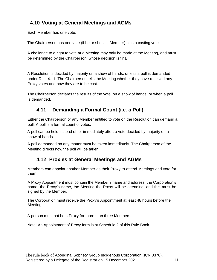# **4.10 Voting at General Meetings and AGMs**

Each Member has one vote.

The Chairperson has one vote (if he or she is a Member) plus a casting vote.

A challenge to a right to vote at a Meeting may only be made at the Meeting, and must be determined by the Chairperson, whose decision is final.

A Resolution is decided by majority on a show of hands, unless a poll is demanded under Rule 4.11. The Chairperson tells the Meeting whether they have received any Proxy votes and how they are to be cast.

The Chairperson declares the results of the vote, on a show of hands, or when a poll is demanded.

#### **4.11 Demanding a Formal Count (i.e. a Poll)**

Either the Chairperson or any Member entitled to vote on the Resolution can demand a poll. A poll is a formal count of votes.

A poll can be held instead of, or immediately after, a vote decided by majority on a show of hands.

A poll demanded on any matter must be taken immediately. The Chairperson of the Meeting directs how the poll will be taken.

#### **4.12 Proxies at General Meetings and AGMs**

Members can appoint another Member as their Proxy to attend Meetings and vote for them.

A Proxy Appointment must contain the Member's name and address, the Corporation's name, the Proxy's name, the Meeting the Proxy will be attending, and this must be signed by the Member.

The Corporation must receive the Proxy's Appointment at least 48 hours before the Meeting.

A person must not be a Proxy for more than three Members.

Note: An Appointment of Proxy form is at Schedule 2 of this Rule Book.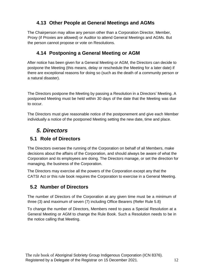# **4.13 Other People at General Meetings and AGMs**

The Chairperson may allow any person other than a Corporation Director, Member, Proxy (if Proxies are allowed) or Auditor to attend General Meetings and AGMs. But the person cannot propose or vote on Resolutions.

# **4.14 Postponing a General Meeting or AGM**

After notice has been given for a General Meeting or AGM, the Directors can decide to postpone the Meeting (this means, delay or reschedule the Meeting for a later date) if there are exceptional reasons for doing so (such as the death of a community person or a natural disaster).

The Directors postpone the Meeting by passing a Resolution in a Directors' Meeting. A postponed Meeting must be held within 30 days of the date that the Meeting was due to occur.

The Directors must give reasonable notice of the postponement and give each Member individually a notice of the postponed Meeting setting the new date, time and place.

# *5. Directors*

#### <span id="page-11-0"></span>**5.1 Role of Directors**

The Directors oversee the running of the Corporation on behalf of all Members, make decisions about the affairs of the Corporation, and should always be aware of what the Corporation and its employees are doing. The Directors manage, or set the direction for managing, the business of the Corporation.

The Directors may exercise all the powers of the Corporation except any that the CATSI Act or this rule book requires the Corporation to exercise in a General Meeting.

# **5.2 Number of Directors**

The number of Directors of the Corporation at any given time must be a minimum of three (3) and maximum of seven (7) including Office Bearers (Refer Rule 5.8)

To change the number of Directors, Members need to pass a Special Resolution at a General Meeting or AGM to change the Rule Book. Such a Resolution needs to be in the notice calling that Meeting.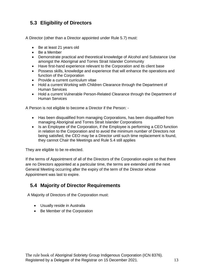# **5.3 Eligibility of Directors**

A Director (other than a Director appointed under Rule 5.7) must:

- Be at least 21 years old
- Be a Member
- Demonstrate practical and theoretical knowledge of Alcohol and Substance Use amongst the Aboriginal and Torres Strait Islander Community
- Have first-hand experience relevant to the Corporation and its client base
- Possess skills, knowledge and experience that will enhance the operations and function of the Corporation
- Provide a current curriculum vitae
- Hold a current Working with Children Clearance through the Department of Human Services
- Hold a current Vulnerable Person-Related Clearance through the Department of Human Services

A Person is not eligible to become a Director if the Person: -

- Has been disqualified from managing Corporations, has been disqualified from managing Aboriginal and Torres Strait Islander Corporations
- $\bullet$  Is an Employee of the Corporation, if the Employee is performing a CEO function in relation to the Corporation and to avoid the minimum number of Directors not being satisfied, the CEO may be a Director until such time replacement is found, they cannot Chair the Meetings and Rule 5.4 still applies

They are eligible to be re-elected.

If the terms of Appointment of all of the Directors of the Corporation expire so that there are no Directors appointed at a particular time, the terms are extended until the next General Meeting occurring after the expiry of the term of the Director whose Appointment was last to expire.

#### **5.4 Majority of Director Requirements**

A Majority of Directors of the Corporation must:

- Usually reside in Australia
- Be Member of the Corporation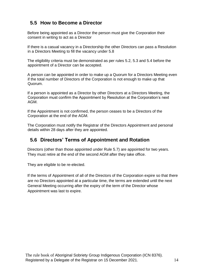### **5.5 How to Become a Director**

Before being appointed as a Director the person must give the Corporation their consent in writing to act as a Director

If there is a casual vacancy in a Directorship the other Directors can pass a Resolution in a Directors Meeting to fill the vacancy under 5.8

The eligibility criteria must be demonstrated as per rules 5.2, 5.3 and 5.4 before the appointment of a Director can be accepted.

A person can be appointed in order to make up a Quorum for a Directors Meeting even if the total number of Directors of the Corporation is not enough to make up that Quorum.

If a person is appointed as a Director by other Directors at a Directors Meeting, the Corporation must confirm the Appointment by Resolution at the Corporation's next AGM.

If the Appointment is not confirmed, the person ceases to be a Directors of the Corporation at the end of the AGM.

The Corporation must notify the Registrar of the Directors Appointment and personal details within 28 days after they are appointed.

#### **5.6 Directors' Terms of Appointment and Rotation**

Directors (other than those appointed under Rule 5.7) are appointed for two years. They must retire at the end of the second AGM after they take office.

They are eligible to be re-elected.

If the terms of Appointment of all of the Directors of the Corporation expire so that there are no Directors appointed at a particular time, the terms are extended until the next General Meeting occurring after the expiry of the term of the Director whose Appointment was last to expire.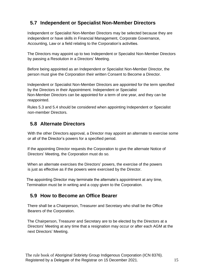# **5.7 Independent or Specialist Non-Member Directors**

Independent or Specialist Non-Member Directors may be selected because they are independent or have skills in Financial Management, Corporate Governance, Accounting, Law or a field relating to the Corporation's activities.

The Directors may appoint up to two Independent or Specialist Non-Member Directors by passing a Resolution in a Directors' Meeting.

Before being appointed as an Independent or Specialist Non-Member Director, the person must give the Corporation their written Consent to Become a Director.

Independent or Specialist Non-Member Directors are appointed for the term specified by the Directors in their Appointment. Independent or Specialist Non-Member Directors can be appointed for a term of one year, and they can be reappointed.

Rules 5.3 and 5.4 should be considered when appointing Independent or Specialist non-member Directors.

# **5.8 Alternate Directors**

With the other Directors approval, a Director may appoint an alternate to exercise some or all of the Director's powers for a specified period.

If the appointing Director requests the Corporation to give the alternate Notice of Directors' Meeting, the Corporation must do so.

When an alternate exercises the Directors' powers, the exercise of the powers is just as effective as if the powers were exercised by the Director.

The appointing Director may terminate the alternate's appointment at any time, Termination must be in writing and a copy given to the Corporation.

# **5.9 How to Become an Office Bearer**

There shall be a Chairperson, Treasurer and Secretary who shall be the Office Bearers of the Corporation.

The Chairperson, Treasurer and Secretary are to be elected by the Directors at a Directors' Meeting at any time that a resignation may occur or after each AGM at the next Directors' Meeting.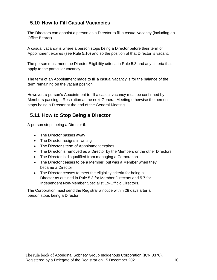# **5.10 How to Fill Casual Vacancies**

The Directors can appoint a person as a Director to fill a casual vacancy (including an Office Bearer).

A casual vacancy is where a person stops being a Director before their term of Appointment expires (see Rule 5.10) and so the position of that Director is vacant.

The person must meet the Director Eligibility criteria in Rule 5.3 and any criteria that apply to the particular vacancy.

The term of an Appointment made to fill a casual vacancy is for the balance of the term remaining on the vacant position.

However, a person's Appointment to fill a casual vacancy must be confirmed by Members passing a Resolution at the next General Meeting otherwise the person stops being a Director at the end of the General Meeting.

# **5.11 How to Stop Being a Director**

A person stops being a Director if:

- The Director passes away
- The Director resigns in writing
- The Director's term of Appointment expires
- The Director is removed as a Director by the Members or the other Directors
- The Director is disqualified from managing a Corporation
- The Director ceases to be a Member, but was a Member when they became a Director
- The Director ceases to meet the eligibility criteria for being a Director as outlined in Rule 5.3 for Member Directors and 5.7 for Independent Non-Member Specialist Ex-Officio Directors.

The Corporation must send the Registrar a notice within 28 days after a person stops being a Director.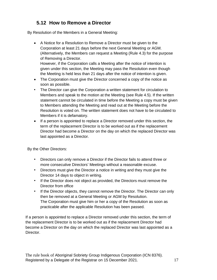# **5.12 How to Remove a Director**

By Resolution of the Members in a General Meeting:

 A Notice for a Resolution to Remove a Director must be given to the Corporation at least 21 days before the next General Meeting or AGM. (Alternatively, the Members can request a Meeting (Rule 4.3) for the purpose of Removing a Director.

However, if the Corporation calls a Meeting after the notice of intention is given under this section, the Meeting may pass the Resolution even though the Meeting is held less than 21 days after the notice of intention is given.

- The Corporation must give the Director concerned a copy of the notice as soon as possible.
- The Director can give the Corporation a written statement for circulation to Members and speak to the motion at the Meeting (see Rule 4.5). If the written statement cannot be circulated in time before the Meeting a copy must be given to Members attending the Meeting and read out at the Meeting before the Resolution is voted on. The written statement does not have to be circulated to Members if it is defamatory.
- If a person is appointed to replace a Director removed under this section, the term of the replacement Director is to be worked out as if the replacement Director had become a Director on the day on which the replaced Director was last appointed as a Director.

By the Other Directors:

- Directors can only remove a Director if the Director fails to attend three or more consecutive Directors' Meetings without a reasonable excuse.
- Directors must give the Director a notice in writing and they must give the Director 14 days to object in writing.
- If the Director does not object as provided, the Directors must remove the Director from office
- If the Director objects, they cannot remove the Director. The Director can only then be removed at a General Meeting or AGM by Resolution. The Corporation must give him or her a copy of the Resolution as soon as practicable after the applicable Resolution has been passed.

If a person is appointed to replace a Director removed under this section, the term of the replacement Director is to be worked out as if the replacement Director had become a Director on the day on which the replaced Director was last appointed as a Director.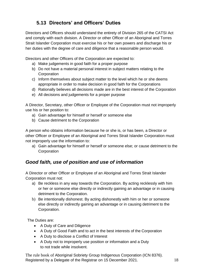# **5.13 Directors' and Officers' Duties**

Directors and Officers should understand the entirety of Division 265 of the CATSI Act and comply with each division. A Director or other Officer of an Aboriginal and Torres Strait Islander Corporation must exercise his or her own powers and discharge his or her duties with the degree of care and diligence that a reasonable person would.

Directors and other Officers of the Corporation are expected to:

- a) Make judgements in good faith for a proper purpose
- b) Do not have a material personal interest in subject matters relating to the **Corporation**
- c) Inform themselves about subject matter to the level which he or she deems appropriate in order to make decision in good faith for the Corporations
- d) Rationally believes all decisions made are in the best interest of the Corporation
- e) All decisions and judgements for a proper purpose

A Director, Secretary, other Officer or Employee of the Corporation must not improperly use his or her position to:

- a) Gain advantage for himself or herself or someone else
- b) Cause detriment to the Corporation

A person who obtains information because he or she is, or has been, a Director or other Officer or Employee of an Aboriginal and Torres Strait Islander Corporation must not improperly use the information to:

a) Gain advantage for himself or herself or someone else; or cause detriment to the **Corporation** 

# *Good faith, use of position and use of information*

A Director or other Officer or Employee of an Aboriginal and Torres Strait Islander Corporation must not:

- a) Be reckless in any way towards the Corporation. By acting recklessly with him or her or someone else directly or indirectly gaining an advantage or in causing detriment to the Corporation.
- b) Be intentionally dishonest. By acting dishonestly with him or her or someone else directly or indirectly gaining an advantage or in causing detriment to the Corporation.

The Duties are:

- A Duty of Care and Diligence
- A Duty of Good Faith and to act in the best interests of the Corporation
- A Duty to disclose a Conflict of Interest
- A Duty not to improperly use position or information and a Duty to not trade while insolvent.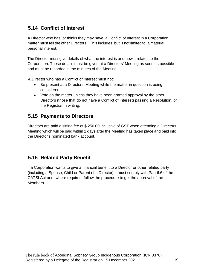# **5.14 Conflict of Interest**

A Director who has, or thinks they may have, a Conflict of Interest in a Corporation matter must tell the other Directors. This includes, but is not limited to, a material personal interest.

The Director must give details of what the interest is and how it relates to the Corporation. These details must be given at a Directors' Meeting as soon as possible and must be recorded in the minutes of the Meeting.

A Director who has a Conflict of Interest must not:

- Be present at a Directors' Meeting while the matter in question is being considered
- Vote on the matter unless they have been granted approval by the other Directors (those that do not have a Conflict of Interest) passing a Resolution, or the Registrar in writing.

### **5.15 Payments to Directors**

Directors are paid a sitting fee of \$ 250.00 inclusive of GST when attending a Directors Meeting which will be paid within 2 days after the Meeting has taken place and paid into the Director's nominated bank account.

#### **5.16 Related Party Benefit**

If a Corporation wants to give a financial benefit to a Director or other related party (including a Spouse, Child or Parent of a Director) it must comply with Part 6.6 of the CATSI Act and, where required, follow the procedure to get the approval of the Members.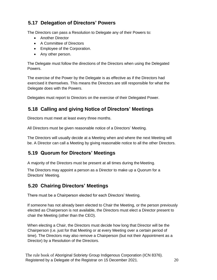# **5.17 Delegation of Directors' Powers**

The Directors can pass a Resolution to Delegate any of their Powers to:

- Another Director
- A Committee of Directors
- Employee of the Corporation.
- Any other person.

The Delegate must follow the directions of the Directors when using the Delegated Powers.

The exercise of the Power by the Delegate is as effective as if the Directors had exercised it themselves. This means the Directors are still responsible for what the Delegate does with the Powers.

Delegates must report to Directors on the exercise of their Delegated Power.

# **5.18 Calling and giving Notice of Directors' Meetings**

Directors must meet at least every three months.

All Directors must be given reasonable notice of a Directors' Meeting.

The Directors will usually decide at a Meeting when and where the next Meeting will be. A Director can call a Meeting by giving reasonable notice to all the other Directors.

#### **5.19 Quorum for Directors' Meetings**

A majority of the Directors must be present at all times during the Meeting.

The Directors may appoint a person as a Director to make up a Quorum for a Directors' Meeting.

#### **5.20 Chairing Directors' Meetings**

There must be a Chairperson elected for each Directors' Meeting.

If someone has not already been elected to Chair the Meeting, or the person previously elected as Chairperson is not available, the Directors must elect a Director present to chair the Meeting (other than the CEO).

When electing a Chair, the Directors must decide how long that Director will be the Chairperson (i.e. just for that Meeting or at every Meeting over a certain period of time). The Directors may also remove a Chairperson (but not their Appointment as a Director) by a Resolution of the Directors.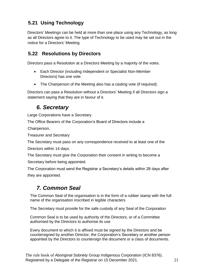# **5.21 Using Technology**

Directors' Meetings can be held at more than one place using any Technology, as long as all Directors agree to it. The type of Technology to be used may be set out in the notice for a Directors' Meeting.

#### **5.22 Resolutions by Directors**

Directors pass a Resolution at a Directors Meeting by a majority of the votes.

- Each Director (including Independent or Specialist Non-Member Directors) has one vote.
- The Chairperson of the Meeting also has a casting vote (if required).

Directors can pass a Resolution without a Directors' Meeting if all Directors sign a statement saying that they are in favour of it.

# *6. Secretary*

<span id="page-20-0"></span>Large Corporations have a Secretary.

The Office Bearers of the Corporation's Board of Directors include a

Chairperson,

Treasurer and Secretary

The Secretary must pass on any correspondence received to at least one of the

Directors within 14 days.

The Secretary must give the Corporation their consent in writing to become a Secretary before being appointed.

The Corporation must send the Registrar a Secretary's details within 28 days after they are appointed.

# *7. Common Seal*

<span id="page-20-1"></span>The Common Seal of the organisation is in the form of a rubber stamp with the full name of the organisation inscribed in legible characters

The Secretary must provide for the safe custody of any Seal of the Corporation

Common Seal is to be used by authority of the Directors, or of a Committee authorised by the Directors to authorise its use

Every document to which it is affixed must be signed by the Directors and be countersigned by another Director, the Corporation's Secretary or another person appointed by the Directors to countersign the document or a class of documents.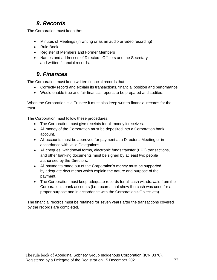# *8. Records*

<span id="page-21-0"></span>The Corporation must keep the:

- Minutes of Meetings (in writing or as an audio or video recording)
- Rule Book
- Register of Members and Former Members
- Names and addresses of Directors, Officers and the Secretary and written financial records.

# *9. Finances*

<span id="page-21-1"></span>The Corporation must keep written financial records that-:

- Correctly record and explain its transactions, financial position and performance
- Would enable true and fair financial reports to be prepared and audited.

When the Corporation is a Trustee it must also keep written financial records for the trust.

The Corporation must follow these procedures.

- The Corporation must give receipts for all money it receives.
- All money of the Corporation must be deposited into a Corporation bank account.
- All accounts must be approved for payment at a Directors' Meeting or in accordance with valid Delegations.
- All cheques, withdrawal forms, electronic funds transfer (EFT) transactions, and other banking documents must be signed by at least two people authorised by the Directors.
- All payments made out of the Corporation's money must be supported by adequate documents which explain the nature and purpose of the payment.
- The Corporation must keep adequate records for all cash withdrawals from the Corporation's bank accounts (i.e. records that show the cash was used for a proper purpose and in accordance with the Corporation's Objectives).

The financial records must be retained for seven years after the transactions covered by the records are completed.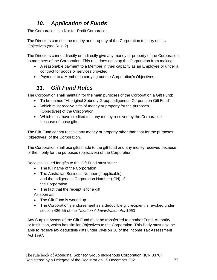# *10. Application of Funds*

<span id="page-22-0"></span>The Corporation is a Not-for-Profit Corporation.

The Directors can use the money and property of the Corporation to carry out its Objectives (see Rule 2)

The Directors cannot directly or indirectly give any money or property of the Corporation to members of the Corporation. This rule does not stop the Corporation from making:

- A reasonable payment to a Member in their capacity as an Employee or under a contract for goods or services provided
- Payment to a Member in carrying out the Corporation's Objectives.

# *11. Gift Fund Rules*

<span id="page-22-1"></span>The Corporation shall maintain for the main purposes of the Corporation a Gift Fund:

- To be named "Aboriginal Sobriety Group Indigenous Corporation Gift Fund"
- Which must receive gifts of money or property for the purposes (Objectives) of the Corporation.
- Which must have credited to it any money received by the Corporation because of those gifts.

The Gift Fund cannot receive any money or property other than that for the purposes (objectives) of the Corporation.

The Corporation shall use gifts made to the gift fund and any money received because of them only for the purposes (objectives) of the Corporation.

Receipts issued for gifts to the Gift Fund must state:

- The full name of the Corporation
- The Australian Business Number (if applicable) and the Indigenous Corporation Number (ICN) of the Corporation
- The fact that the receipt is for a gift

As soon as:

- The Gift Fund is wound up
- The Corporation's endorsement as a deductible gift recipient is revoked under section 426-55 of the *Taxation Administration Act 1953*

Any Surplus Assets of the Gift Fund must be transferred to another Fund, Authority or Institution, which has similar Objectives to the Corporation. This Body must also be able to receive tax deductible gifts under Division 30 of the Income Tax Assessment Act 1997.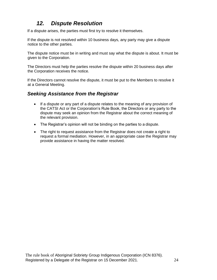# *12. Dispute Resolution*

<span id="page-23-0"></span>If a dispute arises, the parties must first try to resolve it themselves.

If the dispute is not resolved within 10 business days, any party may give a dispute notice to the other parties.

The dispute notice must be in writing and must say what the dispute is about. It must be given to the Corporation.

The Directors must help the parties resolve the dispute within 20 business days after the Corporation receives the notice.

If the Directors cannot resolve the dispute, it must be put to the Members to resolve it at a General Meeting.

#### *Seeking Assistance from the Registrar*

- If a dispute or any part of a dispute relates to the meaning of any provision of the CATSI Act or the Corporation's Rule Book, the Directors or any party to the dispute may seek an opinion from the Registrar about the correct meaning of the relevant provision.
- The Registrar's opinion will not be binding on the parties to a dispute.
- The right to request assistance from the Registrar does not create a right to request a formal mediation. However, in an appropriate case the Registrar may provide assistance in having the matter resolved.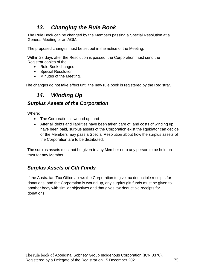# *13. Changing the Rule Book*

<span id="page-24-0"></span>The Rule Book can be changed by the Members passing a Special Resolution at a General Meeting or an AGM.

The proposed changes must be set out in the notice of the Meeting.

Within 28 days after the Resolution is passed, the Corporation must send the Registrar copies of the:

- Rule Book changes
- Special Resolution
- Minutes of the Meeting.

The changes do not take effect until the new rule book is registered by the Registrar.

# *14. Winding Up*

#### <span id="page-24-1"></span>*Surplus Assets of the Corporation*

Where:

- The Corporation is wound up, and
- After all debts and liabilities have been taken care of, and costs of winding up have been paid, surplus assets of the Corporation exist the liquidator can decide or the Members may pass a Special Resolution about how the surplus assets of the Corporation are to be distributed.

The surplus assets must not be given to any Member or to any person to be held on trust for any Member.

# *Surplus Assets of Gift Funds*

If the Australian Tax Office allows the Corporation to give tax deductible receipts for donations, and the Corporation is wound up, any surplus gift funds must be given to another body with similar objectives and that gives tax deductible receipts for donations.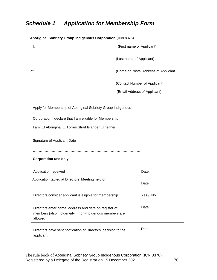# <span id="page-25-0"></span>*Schedule 1 Application for Membership Form*

**Aboriginal Sobriety Group Indigenous Corporation (ICN 8376)**

# I, (First name of Applicant) (Last name of Applicant) of (Home or Postal Address of Applicant (Contact Number of Applicant) (Email Address of Applicant)

Apply for Membership of Aboriginal Sobriety Group Indigenous

Corporation I declare that I am eligible for Membership.

I am: □ Aboriginal □ Torres Strait Islander □ neither

Signature of Applicant Date

…………………………………………………………………………………

#### **Corporation use only**

| Application received                                                                                                         | Date:    |
|------------------------------------------------------------------------------------------------------------------------------|----------|
| Application tabled at Directors' Meeting held on                                                                             | Date:    |
| Directors consider applicant is eligible for membership                                                                      | Yes / No |
| Directors enter name, address and date on register of<br>members (also Indigeneity if non-Indigenous members are<br>allowed) | Date:    |
| Directors have sent notification of Directors' decision to the<br>applicant                                                  | Date:    |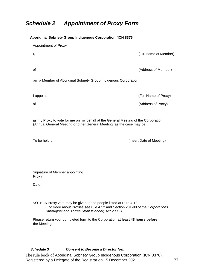# <span id="page-26-0"></span>*Schedule 2 Appointment of Proxy Form*

 $\bar{\mathbf{v}}$ 

| Aboriginal Sobriety Group Indigenous Corporation (ICN 8376                                                                                                                                               |                          |  |
|----------------------------------------------------------------------------------------------------------------------------------------------------------------------------------------------------------|--------------------------|--|
| <b>Appointment of Proxy</b>                                                                                                                                                                              |                          |  |
| Ι,                                                                                                                                                                                                       | (Full name of Member)    |  |
| οf                                                                                                                                                                                                       | (Address of Member)      |  |
|                                                                                                                                                                                                          |                          |  |
| am a Member of Aboriginal Sobriety Group Indigenous Corporation                                                                                                                                          |                          |  |
| I appoint                                                                                                                                                                                                | (Full Name of Proxy)     |  |
| οf                                                                                                                                                                                                       | (Address of Proxy)       |  |
|                                                                                                                                                                                                          |                          |  |
| as my Proxy to vote for me on my behalf at the General Meeting of the Corporation<br>(Annual General Meeting or other General Meeting, as the case may be)                                               |                          |  |
|                                                                                                                                                                                                          |                          |  |
| To be held on                                                                                                                                                                                            | (Insert Date of Meeting) |  |
|                                                                                                                                                                                                          |                          |  |
|                                                                                                                                                                                                          |                          |  |
| Signature of Member appointing<br>Proxy                                                                                                                                                                  |                          |  |
| Date:                                                                                                                                                                                                    |                          |  |
|                                                                                                                                                                                                          |                          |  |
| NOTE: A Proxy vote may be given to the people listed at Rule 4.12.<br>(For more about Proxies see rule 4.12 and Section 201-90 of the Corporations<br>(Aboriginal and Torres Strait Islander) Act 2006.) |                          |  |
|                                                                                                                                                                                                          |                          |  |
| Please return your completed form to the Corporation at least 48 hours before<br>the Meeting.                                                                                                            |                          |  |

#### *Schedule 3 Consent to Become a Director form*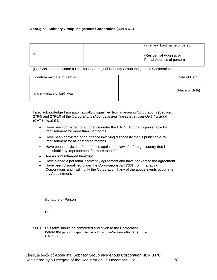#### **Aboriginal Sobriety Group Indigenous Corporation (ICN 8376)**

|    | (First and Last name of person)                      |
|----|------------------------------------------------------|
| οt | (Residential Address or<br>Postal Address of person) |

give Consent to become a Director of Aboriginal Sobriety Group Indigenous Corporation.

| confirm my date of birth is | (Date of Birth)  |
|-----------------------------|------------------|
| and my place of birth was   | (Place of Birth) |

I also acknowledge I am automatically disqualified from managing Corporations (Section. 279-5 and 279-10 of the *Corporations (Aboriginal and Torres Strait Islander) Act 2006*  (CATSI Act)) if I:

- Have been convicted of an offence under the CATSI Act that is punishable by imprisonment for more than 12 months
- Have been convicted of an offence involving dishonesty that is punishable by imprisonment for at least three months
- Have been convicted of an offence against the law of a foreign country that is punishable by imprisonment for more than 12 months
- Am an undischarged bankrupt
- Have signed a personal insolvency agreement and have not kept to the agreement
- Have been disqualified under the *Corporations Act 2001* from managing Corporations and I will notify the Corporation if any of the above events occur after my Appointment.

Signature of Person

Date:

NOTE: This form should be completed and given to the Corporation before the person is appointed as a Director—Section 246-10(1) of the CATSI Act.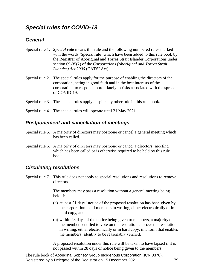# <span id="page-28-0"></span>*Special rules for COVID-19*

#### *General*

- Special rule 1. *Special rule* means this rule and the following numbered rules marked with the words 'Special rule' which have been added to this rule book by the Registrar of Aboriginal and Torres Strait Islander Corporations under section 69-35(2) of the *Corporations (Aboriginal and Torres Strait Islander) Act 2006* (CATSI Act).
- Special rule 2. The special rules apply for the purpose of enabling the directors of the corporation, acting in good faith and in the best interests of the corporation, to respond appropriately to risks associated with the spread of COVID-19.
- Special rule 3. The special rules apply despite any other rule in this rule book.
- Special rule 4. The special rules will operate until 31 May 2021.

#### *Postponement and cancellation of meetings*

- Special rule 5. A majority of directors may postpone or cancel a general meeting which has been called.
- Special rule 6. A majority of directors may postpone or cancel a directors' meeting which has been called or is otherwise required to be held by this rule book.

#### *Circulating resolutions*

Special rule 7. This rule does not apply to special resolutions and resolutions to remove directors.

> The members may pass a resolution without a general meeting being held if:

- (a) at least 21 days' notice of the proposed resolution has been given by the corporation to all members in writing, either electronically or in hard copy, and
- (b) within 28 days of the notice being given to members, a majority of the members entitled to vote on the resolution approve the resolution in writing, either electronically or in hard copy, in a form that enables the members' identity to be reasonably verified.

A proposed resolution under this rule will be taken to have lapsed if it is not passed within 28 days of notice being given to the members.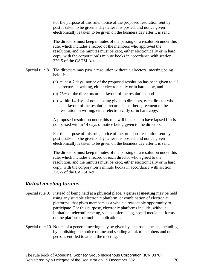For the purpose of this rule, notice of the proposed resolution sent by post is taken to be given 3 days after it is posted, and notice given electronically is taken to be given on the business day after it is sent.

The directors must keep minutes of the passing of a resolution under this rule, which includes a record of the members who approved the resolution, and the minutes must be kept, either electronically or in hard copy, with the corporation's minute books in accordance with section 220-5 of the CATSI Act.

- Special rule 8. The directors may pass a resolution without a directors' meeting being held if:
	- (a) at least 7 days' notice of the proposed resolution has been given to all directors in writing, either electronically or in hard copy, and
	- (b) 75% of the directors are in favour of the resolution, and
	- (c) within 14 days of notice being given to directors, each director who is in favour of the resolution records his or her agreement to the resolution in writing, either electronically or in hard copy.

A proposed resolution under this rule will be taken to have lapsed if it is not passed within 14 days of notice being given to the directors.

For the purpose of this rule, notice of the proposed resolution sent by post is taken to be given 3 days after it is posted, and notice given electronically is taken to be given on the business day after it is sent.

The directors must keep minutes of the passing of a resolution under this rule, which includes a record of each director who agreed to the resolution, and the minutes must be kept, either electronically or in hard copy, with the corporation's minute books in accordance with section 220-5 of the CATSI Act.

#### *Virtual meeting forums*

- Special rule 9. Instead of being held at a physical place, a **general meeting** may be held using any suitable electronic platform, or combination of electronic platforms, that gives members as a whole a reasonable opportunity to participate. For this purpose, electronic platforms include, without limitation, teleconferencing, videoconferencing, social media platforms, online platforms or mobile applications.
- Special rule 10. Notice of a general meeting may be given by electronic means, including by publishing the notice online and sending a link to members and other persons entitled to attend the meeting.